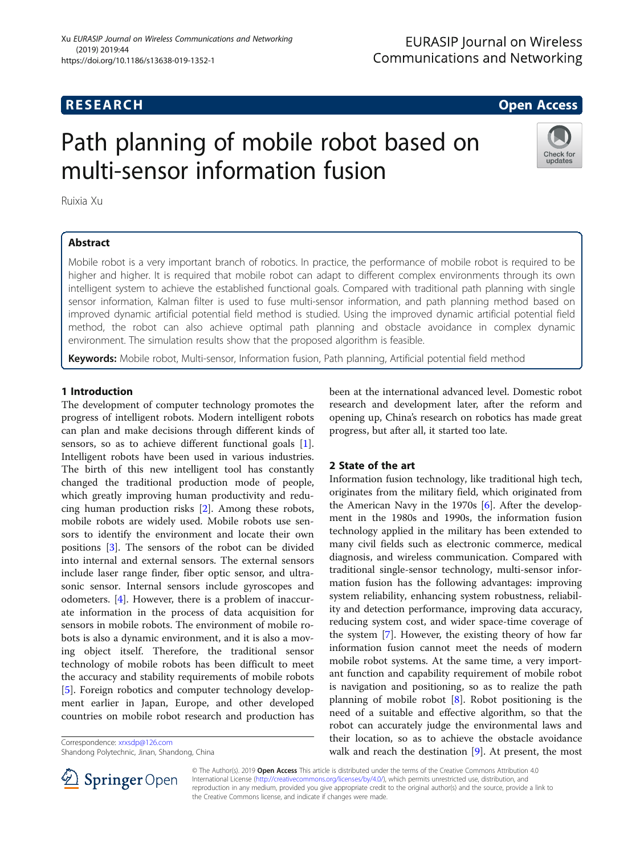https://doi.org/10.1186/s13638-019-1352-1

Xu EURASIP Journal on Wireless Communications and Networking

# **RESEARCH CHILD CONTROL** CONTROL CONTROL CONTROL CONTROL CONTROL CONTROL CONTROL CONTROL CONTROL CONTROL CONTROL

(2019) 2019:44

## **EURASIP lournal on Wireless Communications and Networking**

# Path planning of mobile robot based on multi-sensor information fusion



Ruixia Xu

### Abstract

Mobile robot is a very important branch of robotics. In practice, the performance of mobile robot is required to be higher and higher. It is required that mobile robot can adapt to different complex environments through its own intelligent system to achieve the established functional goals. Compared with traditional path planning with single sensor information, Kalman filter is used to fuse multi-sensor information, and path planning method based on improved dynamic artificial potential field method is studied. Using the improved dynamic artificial potential field method, the robot can also achieve optimal path planning and obstacle avoidance in complex dynamic environment. The simulation results show that the proposed algorithm is feasible.

Keywords: Mobile robot, Multi-sensor, Information fusion, Path planning, Artificial potential field method

#### 1 Introduction

The development of computer technology promotes the progress of intelligent robots. Modern intelligent robots can plan and make decisions through different kinds of sensors, so as to achieve different functional goals [\[1](#page-6-0)]. Intelligent robots have been used in various industries. The birth of this new intelligent tool has constantly changed the traditional production mode of people, which greatly improving human productivity and reducing human production risks [\[2](#page-6-0)]. Among these robots, mobile robots are widely used. Mobile robots use sensors to identify the environment and locate their own positions [\[3](#page-6-0)]. The sensors of the robot can be divided into internal and external sensors. The external sensors include laser range finder, fiber optic sensor, and ultrasonic sensor. Internal sensors include gyroscopes and odometers. [[4\]](#page-6-0). However, there is a problem of inaccurate information in the process of data acquisition for sensors in mobile robots. The environment of mobile robots is also a dynamic environment, and it is also a moving object itself. Therefore, the traditional sensor technology of mobile robots has been difficult to meet the accuracy and stability requirements of mobile robots [[5\]](#page-7-0). Foreign robotics and computer technology development earlier in Japan, Europe, and other developed countries on mobile robot research and production has

Correspondence: [xrxsdp@126.com](mailto:xrxsdp@126.com) Shandong Polytechnic, Jinan, Shandong, China been at the international advanced level. Domestic robot research and development later, after the reform and opening up, China's research on robotics has made great progress, but after all, it started too late.

#### 2 State of the art

Information fusion technology, like traditional high tech, originates from the military field, which originated from the American Navy in the 1970s  $[6]$  $[6]$ . After the development in the 1980s and 1990s, the information fusion technology applied in the military has been extended to many civil fields such as electronic commerce, medical diagnosis, and wireless communication. Compared with traditional single-sensor technology, multi-sensor information fusion has the following advantages: improving system reliability, enhancing system robustness, reliability and detection performance, improving data accuracy, reducing system cost, and wider space-time coverage of the system [\[7](#page-7-0)]. However, the existing theory of how far information fusion cannot meet the needs of modern mobile robot systems. At the same time, a very important function and capability requirement of mobile robot is navigation and positioning, so as to realize the path planning of mobile robot [\[8](#page-7-0)]. Robot positioning is the need of a suitable and effective algorithm, so that the robot can accurately judge the environmental laws and their location, so as to achieve the obstacle avoidance walk and reach the destination [\[9\]](#page-7-0). At present, the most



© The Author(s). 2019 Open Access This article is distributed under the terms of the Creative Commons Attribution 4.0 International License ([http://creativecommons.org/licenses/by/4.0/\)](http://creativecommons.org/licenses/by/4.0/), which permits unrestricted use, distribution, and reproduction in any medium, provided you give appropriate credit to the original author(s) and the source, provide a link to the Creative Commons license, and indicate if changes were made.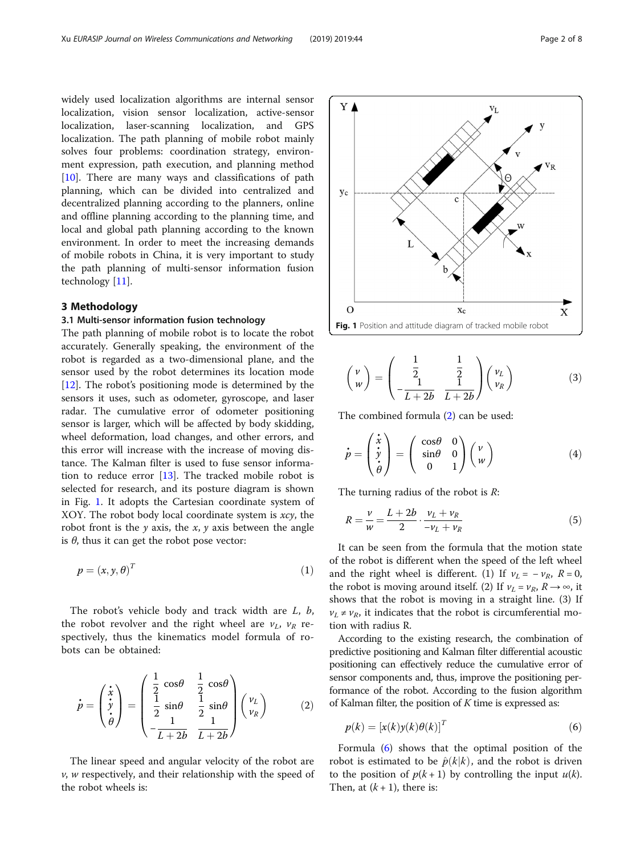widely used localization algorithms are internal sensor localization, vision sensor localization, active-sensor localization, laser-scanning localization, and GPS localization. The path planning of mobile robot mainly solves four problems: coordination strategy, environment expression, path execution, and planning method [[10\]](#page-7-0). There are many ways and classifications of path planning, which can be divided into centralized and decentralized planning according to the planners, online and offline planning according to the planning time, and local and global path planning according to the known environment. In order to meet the increasing demands of mobile robots in China, it is very important to study the path planning of multi-sensor information fusion technology [\[11](#page-7-0)].

#### 3 Methodology

#### 3.1 Multi-sensor information fusion technology

The path planning of mobile robot is to locate the robot accurately. Generally speaking, the environment of the robot is regarded as a two-dimensional plane, and the sensor used by the robot determines its location mode [[12\]](#page-7-0). The robot's positioning mode is determined by the sensors it uses, such as odometer, gyroscope, and laser radar. The cumulative error of odometer positioning sensor is larger, which will be affected by body skidding, wheel deformation, load changes, and other errors, and this error will increase with the increase of moving distance. The Kalman filter is used to fuse sensor information to reduce error [\[13](#page-7-0)]. The tracked mobile robot is selected for research, and its posture diagram is shown in Fig. 1. It adopts the Cartesian coordinate system of XOY. The robot body local coordinate system is  $xcy$ , the robot front is the  $\gamma$  axis, the  $x$ ,  $\gamma$  axis between the angle is  $\theta$ , thus it can get the robot pose vector:

$$
p = (x, y, \theta)^T \tag{1}
$$

The robot's vehicle body and track width are L, b, the robot revolver and the right wheel are  $v_L$ ,  $v_R$  respectively, thus the kinematics model formula of robots can be obtained:

$$
\dot{p} = \begin{pmatrix} \dot{x} \\ \dot{y} \\ \dot{\theta} \end{pmatrix} = \begin{pmatrix} \frac{1}{2} \cos \theta & \frac{1}{2} \cos \theta \\ \frac{1}{2} \sin \theta & \frac{1}{2} \sin \theta \\ -\frac{1}{L+2b} & \frac{1}{L+2b} \end{pmatrix} \begin{pmatrix} v_L \\ v_R \end{pmatrix}
$$
(2)

The linear speed and angular velocity of the robot are  $\nu$ ,  $\nu$  respectively, and their relationship with the speed of the robot wheels is:



$$
\begin{pmatrix} \nu \\ w \end{pmatrix} = \begin{pmatrix} \frac{1}{2} & \frac{1}{2} \\ -\frac{1}{L+2b} & \frac{1}{L+2b} \end{pmatrix} \begin{pmatrix} \nu_L \\ \nu_R \end{pmatrix} \tag{3}
$$

The combined formula (2) can be used:

$$
\dot{p} = \begin{pmatrix} \dot{x} \\ \dot{y} \\ \dot{\theta} \end{pmatrix} = \begin{pmatrix} \cos \theta & 0 \\ \sin \theta & 0 \\ 0 & 1 \end{pmatrix} \begin{pmatrix} v \\ w \end{pmatrix}
$$
(4)

The turning radius of the robot is  $R$ :

$$
R = \frac{v}{w} = \frac{L + 2b}{2} \cdot \frac{v_L + v_R}{-v_L + v_R}
$$
(5)

It can be seen from the formula that the motion state of the robot is different when the speed of the left wheel and the right wheel is different. (1) If  $v_L = -v_R$ ,  $R = 0$ , the robot is moving around itself. (2) If  $v_L = v_R$ ,  $R \rightarrow \infty$ , it shows that the robot is moving in a straight line. (3) If  $v_L \neq v_R$ , it indicates that the robot is circumferential motion with radius R.

According to the existing research, the combination of predictive positioning and Kalman filter differential acoustic positioning can effectively reduce the cumulative error of sensor components and, thus, improve the positioning performance of the robot. According to the fusion algorithm of Kalman filter, the position of  $K$  time is expressed as:

$$
p(k) = [x(k)y(k)\theta(k)]^T
$$
 (6)

Formula (6) shows that the optimal position of the robot is estimated to be  $\hat{p}(k|k)$ , and the robot is driven to the position of  $p(k + 1)$  by controlling the input  $u(k)$ . Then, at  $(k + 1)$ , there is: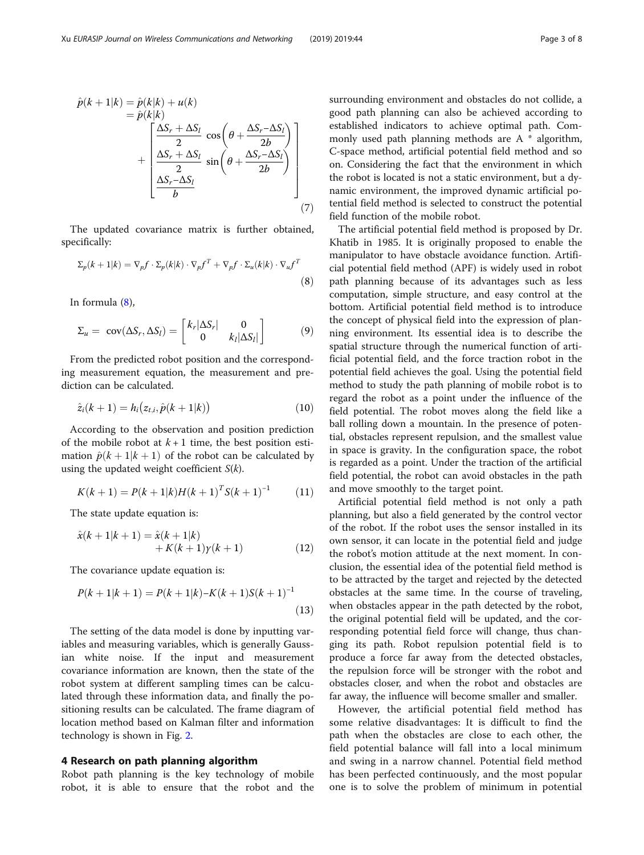$$
\hat{p}(k+1|k) = \hat{p}(k|k) + u(k)
$$
\n
$$
= \hat{p}(k|k)
$$
\n
$$
+ \begin{bmatrix}\n\frac{\Delta S_r + \Delta S_l}{2} \cos\left(\theta + \frac{\Delta S_r - \Delta S_l}{2b}\right) \\
\frac{\Delta S_r + \Delta S_l}{2} \sin\left(\theta + \frac{\Delta S_r - \Delta S_l}{2b}\right) \\
\frac{\Delta S_r - \Delta S_l}{b}\n\end{bmatrix}
$$
\n(7)

The updated covariance matrix is further obtained, specifically:

$$
\Sigma_p(k+1|k) = \nabla_p f \cdot \Sigma_p(k|k) \cdot \nabla_p f^T + \nabla_p f \cdot \Sigma_u(k|k) \cdot \nabla_u f^T
$$
\n(8)

In formula (8),

$$
\Sigma_{u} = \text{cov}(\Delta S_{r}, \Delta S_{l}) = \begin{bmatrix} k_{r}|\Delta S_{r}| & 0\\ 0 & k_{l}|\Delta S_{l}| \end{bmatrix}
$$
(9)

From the predicted robot position and the corresponding measurement equation, the measurement and prediction can be calculated.

$$
\hat{z}_i(k+1) = h_i(z_{t,i}, \hat{p}(k+1|k))
$$
\n(10)

According to the observation and position prediction of the mobile robot at  $k+1$  time, the best position estimation  $\hat{p}(k + 1|k + 1)$  of the robot can be calculated by using the updated weight coefficient  $S(k)$ .

$$
K(k+1) = P(k+1|k)H(k+1)TS(k+1)-1
$$
 (11)

The state update equation is:

$$
\hat{x}(k+1|k+1) = \hat{x}(k+1|k) + K(k+1)\gamma(k+1)
$$
\n(12)

The covariance update equation is:

$$
P(k+1|k+1) = P(k+1|k) - K(k+1)S(k+1)^{-1}
$$
\n(13)

The setting of the data model is done by inputting variables and measuring variables, which is generally Gaussian white noise. If the input and measurement covariance information are known, then the state of the robot system at different sampling times can be calculated through these information data, and finally the positioning results can be calculated. The frame diagram of location method based on Kalman filter and information technology is shown in Fig. [2](#page-3-0).

#### 4 Research on path planning algorithm

Robot path planning is the key technology of mobile robot, it is able to ensure that the robot and the surrounding environment and obstacles do not collide, a good path planning can also be achieved according to established indicators to achieve optimal path. Commonly used path planning methods are A \* algorithm, C-space method, artificial potential field method and so on. Considering the fact that the environment in which the robot is located is not a static environment, but a dynamic environment, the improved dynamic artificial potential field method is selected to construct the potential field function of the mobile robot.

The artificial potential field method is proposed by Dr. Khatib in 1985. It is originally proposed to enable the manipulator to have obstacle avoidance function. Artificial potential field method (APF) is widely used in robot path planning because of its advantages such as less computation, simple structure, and easy control at the bottom. Artificial potential field method is to introduce the concept of physical field into the expression of planning environment. Its essential idea is to describe the spatial structure through the numerical function of artificial potential field, and the force traction robot in the potential field achieves the goal. Using the potential field method to study the path planning of mobile robot is to regard the robot as a point under the influence of the field potential. The robot moves along the field like a ball rolling down a mountain. In the presence of potential, obstacles represent repulsion, and the smallest value in space is gravity. In the configuration space, the robot is regarded as a point. Under the traction of the artificial field potential, the robot can avoid obstacles in the path and move smoothly to the target point.

Artificial potential field method is not only a path planning, but also a field generated by the control vector of the robot. If the robot uses the sensor installed in its own sensor, it can locate in the potential field and judge the robot's motion attitude at the next moment. In conclusion, the essential idea of the potential field method is to be attracted by the target and rejected by the detected obstacles at the same time. In the course of traveling, when obstacles appear in the path detected by the robot, the original potential field will be updated, and the corresponding potential field force will change, thus changing its path. Robot repulsion potential field is to produce a force far away from the detected obstacles, the repulsion force will be stronger with the robot and obstacles closer, and when the robot and obstacles are far away, the influence will become smaller and smaller.

However, the artificial potential field method has some relative disadvantages: It is difficult to find the path when the obstacles are close to each other, the field potential balance will fall into a local minimum and swing in a narrow channel. Potential field method has been perfected continuously, and the most popular one is to solve the problem of minimum in potential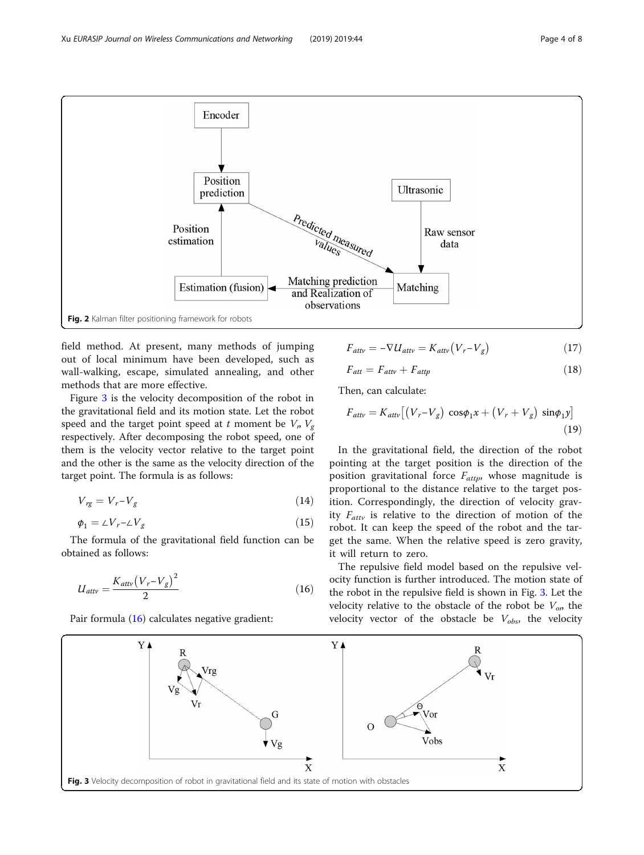<span id="page-3-0"></span>

field method. At present, many methods of jumping out of local minimum have been developed, such as wall-walking, escape, simulated annealing, and other methods that are more effective.

Figure 3 is the velocity decomposition of the robot in the gravitational field and its motion state. Let the robot speed and the target point speed at t moment be  $V_n V_q$ respectively. After decomposing the robot speed, one of them is the velocity vector relative to the target point and the other is the same as the velocity direction of the target point. The formula is as follows:

$$
V_{rg} = V_r - V_g \tag{14}
$$

$$
\phi_1 = \angle V_r - \angle V_g \tag{15}
$$

The formula of the gravitational field function can be obtained as follows:

$$
U_{\text{attv}} = \frac{K_{\text{attv}} \left( V_r - V_g \right)^2}{2} \tag{16}
$$

Pair formula (16) calculates negative gradient:

$$
F_{\text{attv}} = -\nabla U_{\text{attv}} = K_{\text{attv}} \left( V_r - V_g \right) \tag{17}
$$

$$
F_{att} = F_{attv} + F_{attp} \tag{18}
$$

Then, can calculate:

$$
F_{\text{attv}} = K_{\text{attv}} \left[ \left( V_r - V_g \right) \cos \phi_1 x + \left( V_r + V_g \right) \sin \phi_1 y \right]
$$
\n(19)

In the gravitational field, the direction of the robot pointing at the target position is the direction of the position gravitational force  $F_{attp}$ , whose magnitude is proportional to the distance relative to the target position. Correspondingly, the direction of velocity gravity  $F_{\text{attv}}$  is relative to the direction of motion of the robot. It can keep the speed of the robot and the target the same. When the relative speed is zero gravity, it will return to zero.

The repulsive field model based on the repulsive velocity function is further introduced. The motion state of the robot in the repulsive field is shown in Fig. 3. Let the velocity relative to the obstacle of the robot be  $V_{op}$ , the velocity vector of the obstacle be  $V_{obs}$ , the velocity

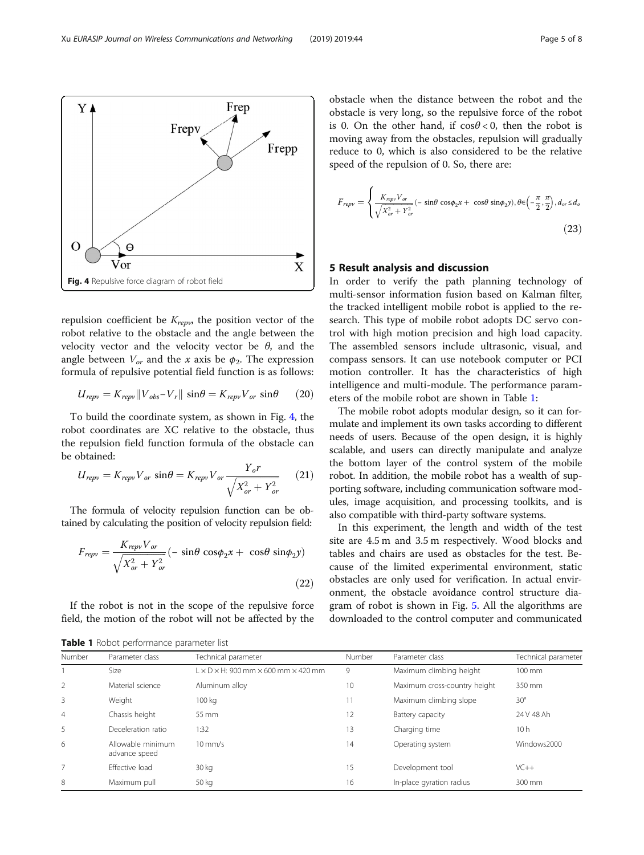

repulsion coefficient be  $K_{revv}$ , the position vector of the robot relative to the obstacle and the angle between the velocity vector and the velocity vector be  $\theta$ , and the angle between  $V_{or}$  and the x axis be  $\phi_2$ . The expression formula of repulsive potential field function is as follows:

$$
U_{repv} = K_{repv} || V_{obs} - V_r || \sin \theta = K_{repv} V_{or} \sin \theta \qquad (20)
$$

To build the coordinate system, as shown in Fig. 4, the robot coordinates are XC relative to the obstacle, thus the repulsion field function formula of the obstacle can be obtained:

$$
U_{repv} = K_{repv} V_{or} \sin \theta = K_{repv} V_{or} \frac{Y_{o}r}{\sqrt{X_{or}^{2} + Y_{or}^{2}}}
$$
 (21)

The formula of velocity repulsion function can be obtained by calculating the position of velocity repulsion field:

$$
F_{repv} = \frac{K_{repv}V_{or}}{\sqrt{X_{or}^2 + Y_{or}^2}} (-\sin\theta \cos\phi_2 x + \cos\theta \sin\phi_2 y)
$$
\n(22)

If the robot is not in the scope of the repulsive force field, the motion of the robot will not be affected by the

Table 1 Robot performance parameter list

obstacle when the distance between the robot and the obstacle is very long, so the repulsive force of the robot is 0. On the other hand, if  $\cos\theta < 0$ , then the robot is moving away from the obstacles, repulsion will gradually reduce to 0, which is also considered to be the relative speed of the repulsion of 0. So, there are:

$$
F_{repv} = \begin{cases} \frac{K_{repv}V_{or}}{\sqrt{X_{or}^2 + Y_{or}^2}} (-\sin\theta\cos\phi_2 x + \cos\theta\sin\phi_2 y), \theta \in \left(-\frac{\pi}{2}, \frac{\pi}{2}\right), d_{or} \le d_o\\ \end{cases}
$$
\n
$$
(23)
$$

#### 5 Result analysis and discussion

In order to verify the path planning technology of multi-sensor information fusion based on Kalman filter, the tracked intelligent mobile robot is applied to the research. This type of mobile robot adopts DC servo control with high motion precision and high load capacity. The assembled sensors include ultrasonic, visual, and compass sensors. It can use notebook computer or PCI motion controller. It has the characteristics of high intelligence and multi-module. The performance parameters of the mobile robot are shown in Table 1:

The mobile robot adopts modular design, so it can formulate and implement its own tasks according to different needs of users. Because of the open design, it is highly scalable, and users can directly manipulate and analyze the bottom layer of the control system of the mobile robot. In addition, the mobile robot has a wealth of supporting software, including communication software modules, image acquisition, and processing toolkits, and is also compatible with third-party software systems.

In this experiment, the length and width of the test site are 4.5 m and 3.5 m respectively. Wood blocks and tables and chairs are used as obstacles for the test. Because of the limited experimental environment, static obstacles are only used for verification. In actual environment, the obstacle avoidance control structure diagram of robot is shown in Fig. [5](#page-5-0). All the algorithms are downloaded to the control computer and communicated

| Number         | Parameter class                    | Technical parameter                                            | Number | Parameter class              | Technical parameter |
|----------------|------------------------------------|----------------------------------------------------------------|--------|------------------------------|---------------------|
|                | Size                               | $1 \times D \times H$ : 900 mm $\times$ 600 mm $\times$ 420 mm | 9      | Maximum climbing height      | 100 mm              |
| 2              | Material science                   | Aluminum alloy                                                 | 10     | Maximum cross-country height | 350 mm              |
| 3              | Weight                             | 100 kg                                                         | 11     | Maximum climbing slope       | $30^\circ$          |
| $\overline{4}$ | Chassis height                     | 55 mm                                                          | 12     | Battery capacity             | 24 V 48 Ah          |
| 5              | Deceleration ratio                 | 1:32                                                           | 13     | Charging time                | 10h                 |
| 6              | Allowable minimum<br>advance speed | $10 \text{ mm/s}$                                              | 14     | Operating system             | Windows2000         |
|                | Effective load                     | 30 kg                                                          | 15     | Development tool             | $VC++$              |
| 8              | Maximum pull                       | 50 kg                                                          | 16     | In-place gyration radius     | 300 mm              |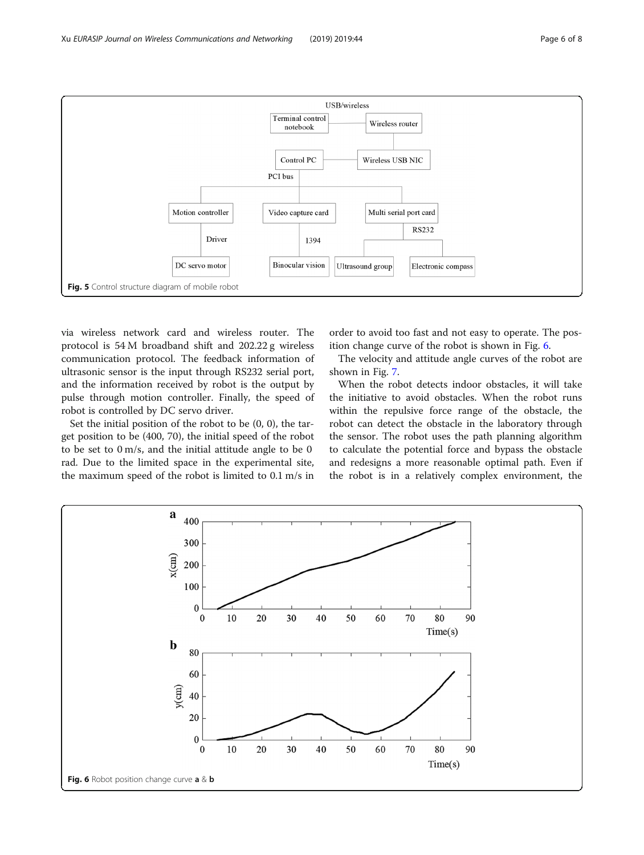<span id="page-5-0"></span>

via wireless network card and wireless router. The protocol is 54 M broadband shift and 202.22 g wireless communication protocol. The feedback information of ultrasonic sensor is the input through RS232 serial port, and the information received by robot is the output by pulse through motion controller. Finally, the speed of robot is controlled by DC servo driver.

Set the initial position of the robot to be (0, 0), the target position to be (400, 70), the initial speed of the robot to be set to 0 m/s, and the initial attitude angle to be 0 rad. Due to the limited space in the experimental site, the maximum speed of the robot is limited to 0.1 m/s in

order to avoid too fast and not easy to operate. The position change curve of the robot is shown in Fig. 6.

The velocity and attitude angle curves of the robot are shown in Fig. [7](#page-6-0).

When the robot detects indoor obstacles, it will take the initiative to avoid obstacles. When the robot runs within the repulsive force range of the obstacle, the robot can detect the obstacle in the laboratory through the sensor. The robot uses the path planning algorithm to calculate the potential force and bypass the obstacle and redesigns a more reasonable optimal path. Even if the robot is in a relatively complex environment, the

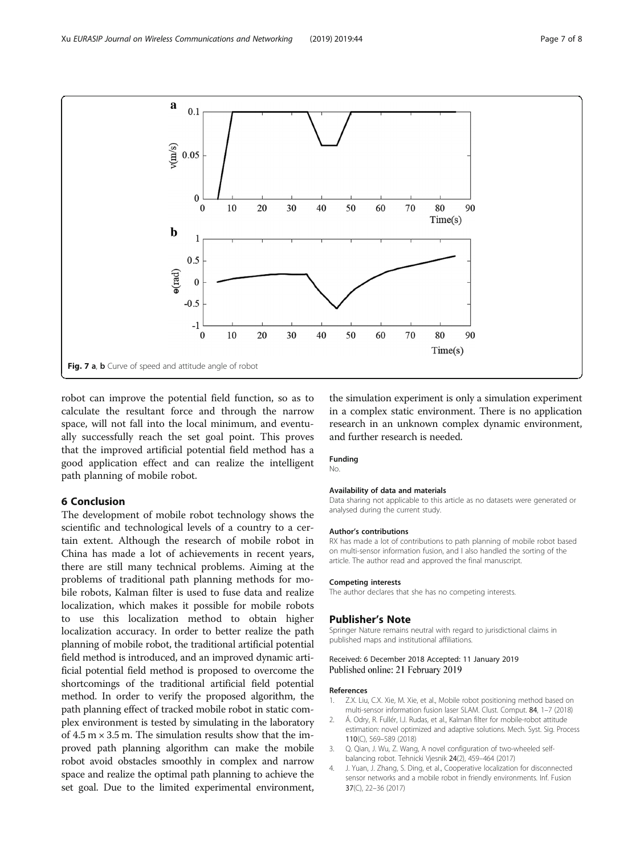<span id="page-6-0"></span>

robot can improve the potential field function, so as to calculate the resultant force and through the narrow space, will not fall into the local minimum, and eventually successfully reach the set goal point. This proves that the improved artificial potential field method has a good application effect and can realize the intelligent path planning of mobile robot.

#### 6 Conclusion

The development of mobile robot technology shows the scientific and technological levels of a country to a certain extent. Although the research of mobile robot in China has made a lot of achievements in recent years, there are still many technical problems. Aiming at the problems of traditional path planning methods for mobile robots, Kalman filter is used to fuse data and realize localization, which makes it possible for mobile robots to use this localization method to obtain higher localization accuracy. In order to better realize the path planning of mobile robot, the traditional artificial potential field method is introduced, and an improved dynamic artificial potential field method is proposed to overcome the shortcomings of the traditional artificial field potential method. In order to verify the proposed algorithm, the path planning effect of tracked mobile robot in static complex environment is tested by simulating in the laboratory of  $4.5 \text{ m} \times 3.5 \text{ m}$ . The simulation results show that the improved path planning algorithm can make the mobile robot avoid obstacles smoothly in complex and narrow space and realize the optimal path planning to achieve the set goal. Due to the limited experimental environment,

the simulation experiment is only a simulation experiment in a complex static environment. There is no application research in an unknown complex dynamic environment, and further research is needed.

#### Funding

No.

#### Availability of data and materials

Data sharing not applicable to this article as no datasets were generated or analysed during the current study.

#### Author's contributions

RX has made a lot of contributions to path planning of mobile robot based on multi-sensor information fusion, and I also handled the sorting of the article. The author read and approved the final manuscript.

#### Competing interests

The author declares that she has no competing interests.

#### Publisher's Note

Springer Nature remains neutral with regard to jurisdictional claims in published maps and institutional affiliations.

#### Received: 6 December 2018 Accepted: 11 January 2019 Published online: 21 February 2019

#### References

- Z.X. Liu, C.X. Xie, M. Xie, et al., Mobile robot positioning method based on multi-sensor information fusion laser SLAM. Clust. Comput. 84, 1–7 (2018)
- 2. Á. Odry, R. Fullér, I.J. Rudas, et al., Kalman filter for mobile-robot attitude estimation: novel optimized and adaptive solutions. Mech. Syst. Sig. Process 110(C), 569–589 (2018)
- 3. Q. Qian, J. Wu, Z. Wang, A novel configuration of two-wheeled selfbalancing robot. Tehnicki Vjesnik 24(2), 459–464 (2017)
- 4. J. Yuan, J. Zhang, S. Ding, et al., Cooperative localization for disconnected sensor networks and a mobile robot in friendly environments. Inf. Fusion 37(C), 22–36 (2017)